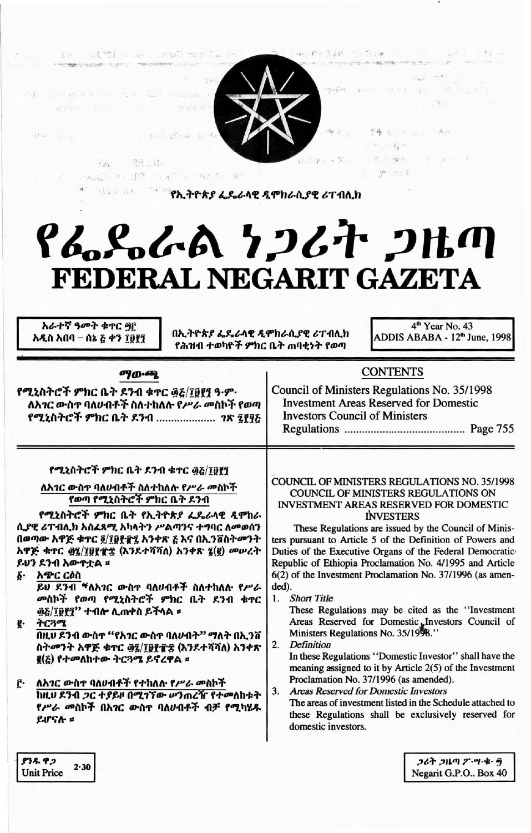| THE R. P. LEWIS CO., LANSING, MICH. 49-14039-1-120-2<br>Report of the Program<br>control of the factor<br>$-\frac{1}{2}$ for $\frac{1}{2}$ , $\frac{1}{2}$ , $\frac{1}{2}$<br>$-78' - 28.44$<br>"第三三三 AND PE FR 201 2 94 3 10<br><u>የተመለከተው የኢትዮጵያ ፌዴራሳዊ ዲሞክራሲያዊ ሪፐብሲክ</u><br>አራተኛ ዓመት ቁተር ፵፫<br>በኢትዮጵያ ፌዴራላዊ ዲሞክራሲያዊ ሪፐብሊክ<br>አዲስ አበባ – ሰኔ ፩ ቀን ፲፱፻፺<br>የሕዝብ ተወካዮች ምክር ቤት ጠባቂነት የወጣ                                                                                                                                                                                                                                                                                                                                 | 如 m - 图 tur (pl) ( 图 中, P ) ;<br>$(1)$ and $(1)$<br>$1 - 3 + 3 + 3 + 1 = 0.03$<br>(Per ) ( The discovered in Act)<br>$1 - 1 - 1 + 1 = 1$<br>· L. R. T. 機械 / L. R. Yaphan & R.<br>$f(f, f) = f(f, f)$<br><b>N P 389</b><br>የፌዴራል ነጋሪት ጋዜጣ<br>FEDERAL NEGARIT GAZETA<br>4 <sup>th</sup> Year No. 43<br>ADDIS ABABA - 12th June, 1998                                                                                                                                                                                                                                                                                                                                                                                                                                                                                                                                                                                                                                                                                                          |
|----------------------------------------------------------------------------------------------------------------------------------------------------------------------------------------------------------------------------------------------------------------------------------------------------------------------------------------------------------------------------------------------------------------------------------------------------------------------------------------------------------------------------------------------------------------------------------------------------------------------------------------------------------------------------------------------------------------------|---------------------------------------------------------------------------------------------------------------------------------------------------------------------------------------------------------------------------------------------------------------------------------------------------------------------------------------------------------------------------------------------------------------------------------------------------------------------------------------------------------------------------------------------------------------------------------------------------------------------------------------------------------------------------------------------------------------------------------------------------------------------------------------------------------------------------------------------------------------------------------------------------------------------------------------------------------------------------------------------------------------------------------------------|
| ማውጫ<br>የሚኒስትሮች ምክር ቤት ደንብ ቁጥር ፴፩/፲፱፻፺ ዓ·ም·<br>ለአ <i>ገር ው</i> ስጥ ባለ <b>ሀብቶች ስለተከለ</b> ሱ የሥራ መስኮች የወጣ<br>የሚኒስትሮች ምክር ቤት ደንብ  ንጽ ፯፻፶፩                                                                                                                                                                                                                                                                                                                                                                                                                                                                                                                                                                                   | <b>CONTENTS</b><br>Council of Ministers Regulations No. 35/1998<br><b>Investment Areas Reserved for Domestic</b><br><b>Investors Council of Ministers</b>                                                                                                                                                                                                                                                                                                                                                                                                                                                                                                                                                                                                                                                                                                                                                                                                                                                                                   |
| የሚኒስትሮች ምክር ቤት ደንብ ቁተር ፴፩/፲፱፻፺<br>ለአንር ውስተ ባለሀብቶች ስለተከለሉ የሥራ መስኮች<br>የወጣ የሚኒስትሮች ምክር ቤት ደንብ<br>የሚኒስትሮች ምክር ቤት የኢትዮጵያ ፌዴራላዊ ዲሞከራ<br>ሲያዊ ሪፐብሊክ አስፈጻሚ አካላትን ሥልጣንና ተግባር ለመወሰን<br>በወጣው አዋጅ ቁጥር ፬/፲፱፻፹፯ አንቀጽ ፭ እና በኢንቨስትመንት<br>አዋጅ ቁጥር ፴፯/፲፱፻፹፰ (እንደተሻሻለ) አንቀጽ ፯(፪) መሥረት<br>ይሀን ደንብ አውዋቷል ፡<br>δ· አ <b></b> ድር ርዕስ<br>ይሀ ደንብ <sup>ፋ</sup> ለአ <i>ገ</i> ር ውስ <b>ተ ባለ</b> ሀብቶች ስለተከለሉ የሥራ<br>መስኮች የወጣ የሚኒስትሮች ምክር ቤት ደንብ ቁጥር<br>፴፩/፲፱፻፺" ተብሎ ሊጠቀስ ይችላል ፡፡<br>ትርጓሜ<br>g.<br>በዚህ ደንብ ውስዋ "የአገር ውስዋ ባለሀብት" ማለት በኢንቨ<br>ስትመንት አዋጅ ቁጥር ፴፯/፲፱፻፹፰ (እንደተሻሻለ) አንቀጽ<br>፪(፩) የተመለከተው ትርጓሜ ይኖረዋል ፡፡<br>ለአገር ውስተ ባለሀብቶች የተከለሉ የሥራ መስኮች<br>Ē٠<br>ከዚህ ደንብ <i>ጋ</i> ር ተያይዞ በሚገኘው ሥንጠረዥ የተመለከቱት<br>የሥራ መስኮች በአገር ውስተ ባለሀብቶች ብቻ የሚካሄዱ<br>ይሆናሉ ። | <b>COUNCIL OF MINISTERS REGULATIONS NO. 35/1998</b><br>COUNCIL OF MINISTERS REGULATIONS ON<br><b>INVESTMENT AREAS RESERVED FOR DOMESTIC</b><br><b>INVESTERS</b><br>These Regulations are issued by the Council of Minis-<br>ters pursuant to Article 5 of the Definition of Powers and<br>Duties of the Executive Organs of the Federal Democratic<br>Republic of Ethiopia Proclamation No. 4/1995 and Article<br>6(2) of the Investment Proclamation No. 37/1996 (as amen-<br>ded).<br><b>Short Title</b><br>1.<br>These Regulations may be cited as the "Investment"<br>Areas Reserved for Domestic "Investors Council of<br>Ministers Regulations No. 35/1998."<br><b>Definition</b><br>2.<br>In these Regulations "Domestic Investor" shall have the<br>meaning assigned to it by Article $2(5)$ of the Investment<br>Proclamation No. 37/1996 (as amended).<br><b>Areas Reserved for Domestic Investors</b><br>3.<br>The areas of investment listed in the Schedule attached to<br>these Regulations shall be exclusively reserved for |

A successive materials of construction in the

cija -

Past (c)

| 2.30 |
|------|
|      |

ጋሪት ጋዜጣ ፖ.ሣ.ቁ. ፵<br>Negarit G.P.O.. Box 40

 $\sim$ 

20mg 都是各种。2019年6月20日, 1957年1月20日, 1982年4月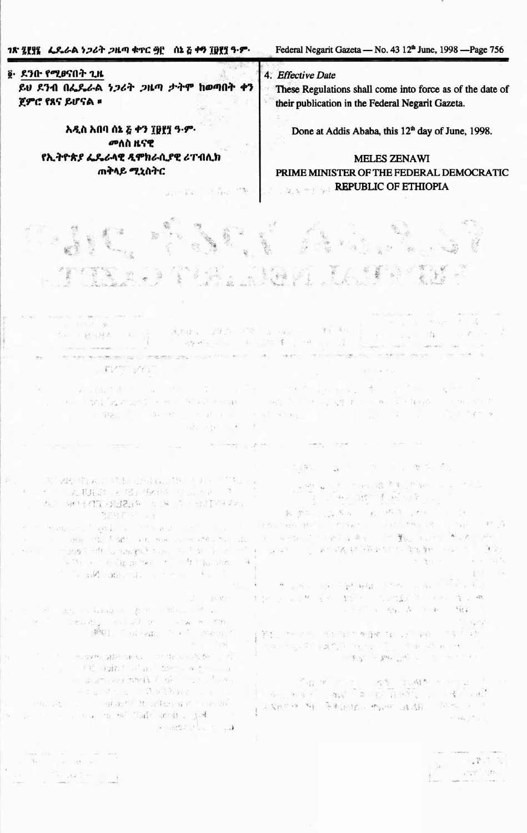Federal Negarit Gazeta - No. 43 12<sup>th</sup> June, 1998 - Page 756

፩· ደንቡ የሚፀናበት ጊዜ ይህ ደንብ በፌዴራል ነጋሪት ጋዜጣ ታትሞ ከወጣበት ቀን ጀምሮ የጸና ይሆናል ፡

> አዲስ አበባ ሰኔ ፩ ቀን ፲፱፻፺ ዓ.ም. መለስ ዚናዊ የኢትዮጵያ ፌዴራላዊ ዲሞክራሲያዊ ሪፐብሊክ **ጠቅላይ ሚኒስትር**

> > $\widetilde{\Xi}^{\mathrm{N}}_{\mathrm{F}}$

 $\label{eq:2.1} \varphi_{\lambda} = \frac{1}{4} \varphi_{\lambda} = 1 - \frac{2}{3} \varphi_{\lambda} = 1.4 \, \mathrm{GeV}$ 

黄疸: 四角 (第一) mail (4) 46

 $\label{eq:R1} \mathcal{L}=\mathrm{tr}(\mathcal{U}_0\otimes \mathcal{U}_1)\mathcal{U}_1\otimes \cdots \otimes \mathcal{U}_n\otimes \cdots \otimes \mathcal{U}_n\otimes \cdots \otimes \mathcal{U}_n\otimes \cdots \otimes \mathcal{U}_n\otimes \mathcal{U}_n\otimes \mathcal{U}_n\otimes \mathcal{U}_n\otimes \mathcal{U}_n\otimes \mathcal{U}_n$ 

一度 (1)

into where

经确定 有一个本质 ()

S all

 $-10^{\circ}$ 

4. Effective Date

These Regulations shall come into force as of the date of their publication in the Federal Negarit Gazeta.

Done at Addis Ababa, this 12<sup>th</sup> day of June, 1998.

**MELES ZENAWI** PRIME MINISTER OF THE FEDERAL DEMOCRATIC **REPUBLIC OF ETHIOPIA** 生成

计图 10 单元 维

 $\Delta \quad \mathbb{R} \qquad \mathbb{R} \qquad \mathbb{R} \qquad \mathbb{R} \qquad \mathbb{R} \qquad \mathbb{R} \qquad \mathbb{R} \qquad \mathbb{R} \qquad \mathbb{R} \qquad \mathbb{R} \qquad \mathbb{R} \qquad \mathbb{R} \qquad \mathbb{R} \qquad \mathbb{R} \qquad \mathbb{R} \qquad \mathbb{R} \qquad \mathbb{R} \qquad \mathbb{R} \qquad \mathbb{R} \qquad \mathbb{R} \qquad \mathbb{R} \qquad \mathbb{R} \qquad \mathbb{R} \qquad \mathbb{R} \qquad$ 

 $\label{eq:3.1} \mathcal{F}^{(1)}_{\mathcal{F}}(\mathbf{w}) = \mathcal{F}^{(1)}_{\mathcal{F}}(\mathbf{w}) = \mathcal{F}^{(1)}_{\mathcal{F}}(\mathbf{w}) = \mathcal{F}^{(1)}_{\mathcal{F}}(\mathbf{w}) = \mathcal{F}^{(1)}_{\mathcal{F}}(\mathbf{w}) = \mathcal{F}^{(1)}_{\mathcal{F}}(\mathbf{w}) = \mathcal{F}^{(1)}_{\mathcal{F}}(\mathbf{w})$ 

1. 我们的时候,

· 新城北海南北京新疆 · · · · · ·

 $\label{eq:12} \mathcal{A}(\mathbf{P}\mathbf{X}^{\mathcal{G}}) = \mathbf{P}\mathbf{0}, \quad \mathcal{A}^{\mathcal{G}}(\mathbf{X}^{\mathcal{G}}) = \mathcal{A}(\mathbf{X}^{\mathcal{G}} \mathbf{X})$ 

 $\tau = \sum_{i=1}^n \left( \tau_i - 1 \right)$ 

義 参加 (以下) ( ) ( ) ( ) ( ) ( ) ( )

第二回 百分 事(金属) やんしか 

转。如果一个短短点到镜子的 的过去分词 the stop distribution of the contraction of

 $\begin{array}{ccccccccc} \alpha_{11} & \alpha_{22} & & & & \alpha_{33} & & & \alpha_{34} & & \alpha_{35} & & \alpha_{36} & & \alpha_{37} & & \alpha_{38} & & \alpha_{37} & & \alpha_{38} & & \alpha_{37} & & \alpha_{38} & & \alpha_{37} & & \alpha_{38} & & \alpha_{37} & & \alpha_{38} & & \alpha_{38} & & \alpha_{38} & & \alpha_{38} & & \alpha_{38} & & \alpha_{38} & & \alpha_{38} & & \alpha_{38} & & \alpha_{38} & & \alpha_{38} & & \alpha_{38} & & \$ 

 $\mathcal{F}(\mathcal{C}_1) = \{ \pm 2 \,,\ \left\{ \mathcal{V} \right\} \,,\qquad \mathcal{F}^{\prime} = \mathcal{V} \,,\qquad \qquad \text{if } \tau \in \mathcal{F} \, \text{or} \, \mathcal{C} \, \text{or} \, \mathcal{C} \, \text{or} \, \mathcal{C} \, \text{or} \, \mathcal{C} \, \text{or} \, \mathcal{C} \}$ 

医不同 "雪花"

 $-1.78$ 

 $\gamma_{\rm eff}=-\Omega_{\rm eff}$ 

TWO STAR

 $\mathcal{F}^{\mathbb{C}}$  .

TO ARE THE THE UNDER THE LIGHT TILL IN · 法馬越 : 图 板供 · 2 · 2 3 平均 (TT) 対話を行く (Windows 2010) ( Windows 2014) Party Politics

**COMPRESSION** 

不平 ほうほん

was a company of the company  $\label{eq:3.1} \gamma = -1200 \quad \text{if} \quad \tilde{\gamma} = 5.61 \quad \text{if} \quad \tilde{\alpha} = 0.46 \quad \text{if} \quad \tilde{\gamma} = 1.05 \quad \text{if} \quad \tilde{\gamma} = 0.05 \quad \text{if} \quad \tilde{\gamma} = 0.05 \quad \text{if} \quad \tilde{\gamma} = 0.05 \quad \text{if} \quad \tilde{\gamma} = 0.05 \quad \text{if} \quad \tilde{\gamma} = 0.05 \quad \text{if} \quad \tilde{\gamma} = 0.05 \quad \text{if} \quad \tilde{\gamma$  $\mathcal{O}_{\mathcal{C}}\left(\mathcal{C}^{\mathbf{R}}\mathbf{G}\right)_{\mathcal{C}}\left(\mathcal{C}\right)_{\mathcal{C}}=\mathcal{C}\mathbf{G}_{\mathbf{R}}$ where the stripe of the second second setted and hold more than the send the contract of May 1990.

**INSING** 

an interest give them to be  $\mathcal{A}_1,\mathcal{A}_2,\ldots,\mathcal{A}_n\mathcal{A}_n\rightarrow\mathcal{A}_n\mathcal{A}_n$ BOLL ON ARE TO A STATE .  $-44$ 

 $\mathcal{N} = \mathcal{N}(\mathcal{Q}\mathcal{P}^{\mathbf{p}}) \cdot \mathcal{Q}(\mathcal{P}^{\mathbf{p}} \cap \mathcal{W}(\mathcal{Q})) = \mathcal{N} \circ \mathcal{Q}_{\mathcal{U}^{-1}(\mathcal{Q})} \circ \mathcal{N}(\mathcal{Q})$ · ICH SPIENTA E of market a Le l'e chathair c'h

Plan Manner and administration of the 200 with a temperature and compared in Les materiales de la partie

 $\frac{1}{\sqrt{48}}\left[\frac{1}{168\pi}\frac{\sqrt{16}}{\sqrt{16}}\right] \times \frac{1}{\sqrt{16}}$ 

**Las Della** 

Æ.

 $\mathbb{E}_{\mathbf{u}}\left[\mathbf{P}_{\mathbf{u}}\right]^{H}\mathbb{E}_{\mathbf{u}}\left[\mathbf{u}\right]^{H}$  $\frac{1}{2}$  ,  $\frac{1}{2}$  ,  $\frac{1}{2}$  ,  $\frac{1}{2}$